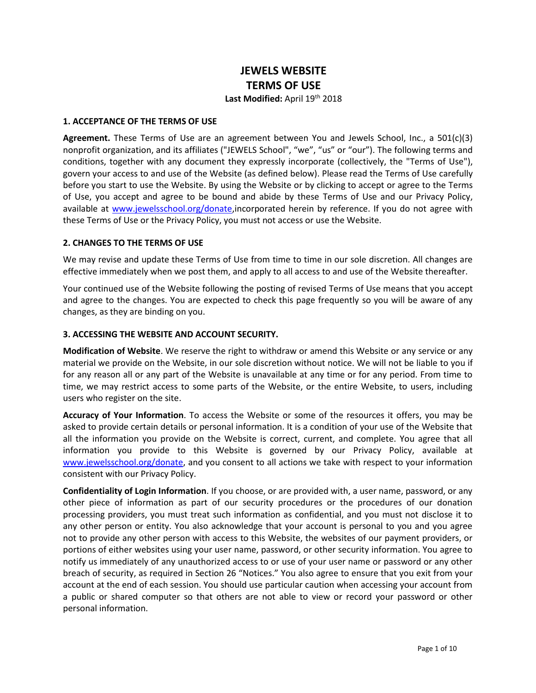# **JEWELS WEBSITE TERMS OF USE**

Last Modified: April 19<sup>th</sup> 2018

#### **1. ACCEPTANCE OF THE TERMS OF USE**

**Agreement.** These Terms of Use are an agreement between You and Jewels School, Inc., a 501(c)(3) nonprofit organization, and its affiliates ("JEWELS School", "we", "us" or "our"). The following terms and conditions, together with any document they expressly incorporate (collectively, the "Terms of Use"), govern your access to and use of the Website (as defined below). Please read the Terms of Use carefully before you start to use the Website. By using the Website or by clicking to accept or agree to the Terms of Use, you accept and agree to be bound and abide by these Terms of Use and our Privacy Policy, available at [www.jewelsschool.org/donate,](http://www.jewelsschool.org/donate)incorporated herein by reference. If you do not agree with these Terms of Use or the Privacy Policy, you must not access or use the Website.

## **2. CHANGES TO THE TERMS OF USE**

We may revise and update these Terms of Use from time to time in our sole discretion. All changes are effective immediately when we post them, and apply to all access to and use of the Website thereafter.

Your continued use of the Website following the posting of revised Terms of Use means that you accept and agree to the changes. You are expected to check this page frequently so you will be aware of any changes, as they are binding on you.

## **3. ACCESSING THE WEBSITE AND ACCOUNT SECURITY.**

**Modification of Website**. We reserve the right to withdraw or amend this Website or any service or any material we provide on the Website, in our sole discretion without notice. We will not be liable to you if for any reason all or any part of the Website is unavailable at any time or for any period. From time to time, we may restrict access to some parts of the Website, or the entire Website, to users, including users who register on the site.

**Accuracy of Your Information**. To access the Website or some of the resources it offers, you may be asked to provide certain details or personal information. It is a condition of your use of the Website that all the information you provide on the Website is correct, current, and complete. You agree that all information you provide to this Website is governed by our Privacy Policy, available at [www.jewelsschool.org/donate,](http://www.jewelsschool.org/donate) and you consent to all actions we take with respect to your information consistent with our Privacy Policy.

**Confidentiality of Login Information**. If you choose, or are provided with, a user name, password, or any other piece of information as part of our security procedures or the procedures of our donation processing providers, you must treat such information as confidential, and you must not disclose it to any other person or entity. You also acknowledge that your account is personal to you and you agree not to provide any other person with access to this Website, the websites of our payment providers, or portions of either websites using your user name, password, or other security information. You agree to notify us immediately of any unauthorized access to or use of your user name or password or any other breach of security, as required in Section 26 "Notices." You also agree to ensure that you exit from your account at the end of each session. You should use particular caution when accessing your account from a public or shared computer so that others are not able to view or record your password or other personal information.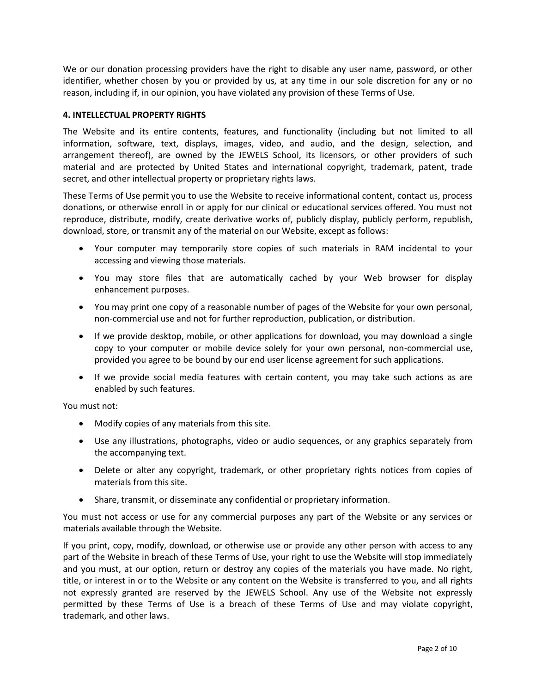We or our donation processing providers have the right to disable any user name, password, or other identifier, whether chosen by you or provided by us, at any time in our sole discretion for any or no reason, including if, in our opinion, you have violated any provision of these Terms of Use.

# **4. INTELLECTUAL PROPERTY RIGHTS**

The Website and its entire contents, features, and functionality (including but not limited to all information, software, text, displays, images, video, and audio, and the design, selection, and arrangement thereof), are owned by the JEWELS School, its licensors, or other providers of such material and are protected by United States and international copyright, trademark, patent, trade secret, and other intellectual property or proprietary rights laws.

These Terms of Use permit you to use the Website to receive informational content, contact us, process donations, or otherwise enroll in or apply for our clinical or educational services offered. You must not reproduce, distribute, modify, create derivative works of, publicly display, publicly perform, republish, download, store, or transmit any of the material on our Website, except as follows:

- Your computer may temporarily store copies of such materials in RAM incidental to your accessing and viewing those materials.
- You may store files that are automatically cached by your Web browser for display enhancement purposes.
- You may print one copy of a reasonable number of pages of the Website for your own personal, non-commercial use and not for further reproduction, publication, or distribution.
- If we provide desktop, mobile, or other applications for download, you may download a single copy to your computer or mobile device solely for your own personal, non-commercial use, provided you agree to be bound by our end user license agreement for such applications.
- If we provide social media features with certain content, you may take such actions as are enabled by such features.

You must not:

- Modify copies of any materials from this site.
- Use any illustrations, photographs, video or audio sequences, or any graphics separately from the accompanying text.
- Delete or alter any copyright, trademark, or other proprietary rights notices from copies of materials from this site.
- Share, transmit, or disseminate any confidential or proprietary information.

You must not access or use for any commercial purposes any part of the Website or any services or materials available through the Website.

If you print, copy, modify, download, or otherwise use or provide any other person with access to any part of the Website in breach of these Terms of Use, your right to use the Website will stop immediately and you must, at our option, return or destroy any copies of the materials you have made. No right, title, or interest in or to the Website or any content on the Website is transferred to you, and all rights not expressly granted are reserved by the JEWELS School. Any use of the Website not expressly permitted by these Terms of Use is a breach of these Terms of Use and may violate copyright, trademark, and other laws.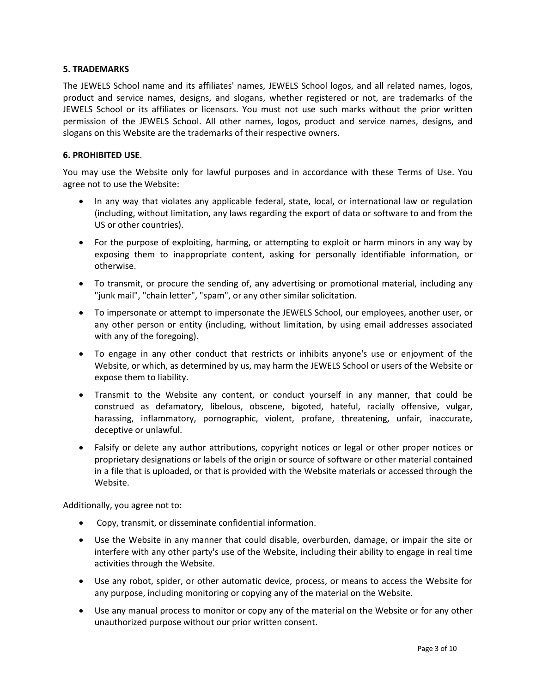## **5. TRADEMARKS**

The JEWELS School name and its affiliates' names, JEWELS School logos, and all related names, logos, product and service names, designs, and slogans, whether registered or not, are trademarks of the JEWELS School or its affiliates or licensors. You must not use such marks without the prior written permission of the JEWELS School. All other names, logos, product and service names, designs, and slogans on this Website are the trademarks of their respective owners.

## **6. PROHIBITED USE**.

You may use the Website only for lawful purposes and in accordance with these Terms of Use. You agree not to use the Website:

- In any way that violates any applicable federal, state, local, or international law or regulation (including, without limitation, any laws regarding the export of data or software to and from the US or other countries).
- For the purpose of exploiting, harming, or attempting to exploit or harm minors in any way by exposing them to inappropriate content, asking for personally identifiable information, or otherwise.
- To transmit, or procure the sending of, any advertising or promotional material, including any "junk mail", "chain letter", "spam", or any other similar solicitation.
- To impersonate or attempt to impersonate the JEWELS School, our employees, another user, or any other person or entity (including, without limitation, by using email addresses associated with any of the foregoing).
- To engage in any other conduct that restricts or inhibits anyone's use or enjoyment of the Website, or which, as determined by us, may harm the JEWELS School or users of the Website or expose them to liability.
- Transmit to the Website any content, or conduct yourself in any manner, that could be construed as defamatory, libelous, obscene, bigoted, hateful, racially offensive, vulgar, harassing, inflammatory, pornographic, violent, profane, threatening, unfair, inaccurate, deceptive or unlawful.
- Falsify or delete any author attributions, copyright notices or legal or other proper notices or proprietary designations or labels of the origin or source of software or other material contained in a file that is uploaded, or that is provided with the Website materials or accessed through the Website.

Additionally, you agree not to:

- Copy, transmit, or disseminate confidential information.
- Use the Website in any manner that could disable, overburden, damage, or impair the site or interfere with any other party's use of the Website, including their ability to engage in real time activities through the Website.
- Use any robot, spider, or other automatic device, process, or means to access the Website for any purpose, including monitoring or copying any of the material on the Website.
- Use any manual process to monitor or copy any of the material on the Website or for any other unauthorized purpose without our prior written consent.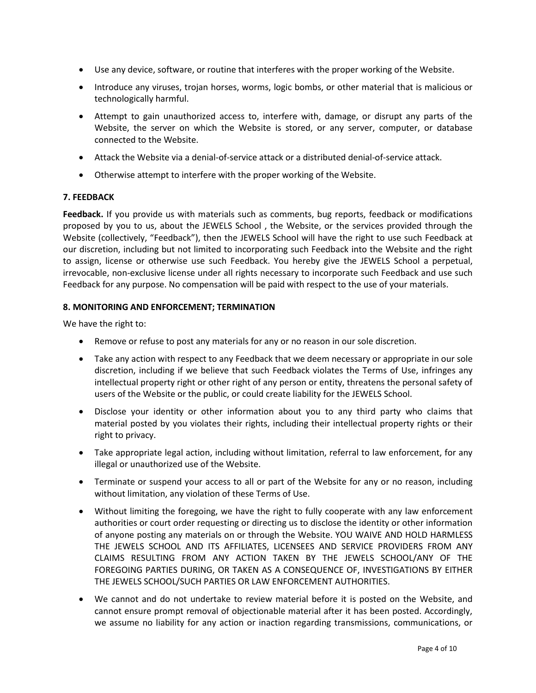- Use any device, software, or routine that interferes with the proper working of the Website.
- Introduce any viruses, trojan horses, worms, logic bombs, or other material that is malicious or technologically harmful.
- Attempt to gain unauthorized access to, interfere with, damage, or disrupt any parts of the Website, the server on which the Website is stored, or any server, computer, or database connected to the Website.
- Attack the Website via a denial-of-service attack or a distributed denial-of-service attack.
- Otherwise attempt to interfere with the proper working of the Website.

# **7. FEEDBACK**

**Feedback.** If you provide us with materials such as comments, bug reports, feedback or modifications proposed by you to us, about the JEWELS School , the Website, or the services provided through the Website (collectively, "Feedback"), then the JEWELS School will have the right to use such Feedback at our discretion, including but not limited to incorporating such Feedback into the Website and the right to assign, license or otherwise use such Feedback. You hereby give the JEWELS School a perpetual, irrevocable, non-exclusive license under all rights necessary to incorporate such Feedback and use such Feedback for any purpose. No compensation will be paid with respect to the use of your materials.

## **8. MONITORING AND ENFORCEMENT; TERMINATION**

We have the right to:

- Remove or refuse to post any materials for any or no reason in our sole discretion.
- Take any action with respect to any Feedback that we deem necessary or appropriate in our sole discretion, including if we believe that such Feedback violates the Terms of Use, infringes any intellectual property right or other right of any person or entity, threatens the personal safety of users of the Website or the public, or could create liability for the JEWELS School.
- Disclose your identity or other information about you to any third party who claims that material posted by you violates their rights, including their intellectual property rights or their right to privacy.
- Take appropriate legal action, including without limitation, referral to law enforcement, for any illegal or unauthorized use of the Website.
- Terminate or suspend your access to all or part of the Website for any or no reason, including without limitation, any violation of these Terms of Use.
- Without limiting the foregoing, we have the right to fully cooperate with any law enforcement authorities or court order requesting or directing us to disclose the identity or other information of anyone posting any materials on or through the Website. YOU WAIVE AND HOLD HARMLESS THE JEWELS SCHOOL AND ITS AFFILIATES, LICENSEES AND SERVICE PROVIDERS FROM ANY CLAIMS RESULTING FROM ANY ACTION TAKEN BY THE JEWELS SCHOOL/ANY OF THE FOREGOING PARTIES DURING, OR TAKEN AS A CONSEQUENCE OF, INVESTIGATIONS BY EITHER THE JEWELS SCHOOL/SUCH PARTIES OR LAW ENFORCEMENT AUTHORITIES.
- We cannot and do not undertake to review material before it is posted on the Website, and cannot ensure prompt removal of objectionable material after it has been posted. Accordingly, we assume no liability for any action or inaction regarding transmissions, communications, or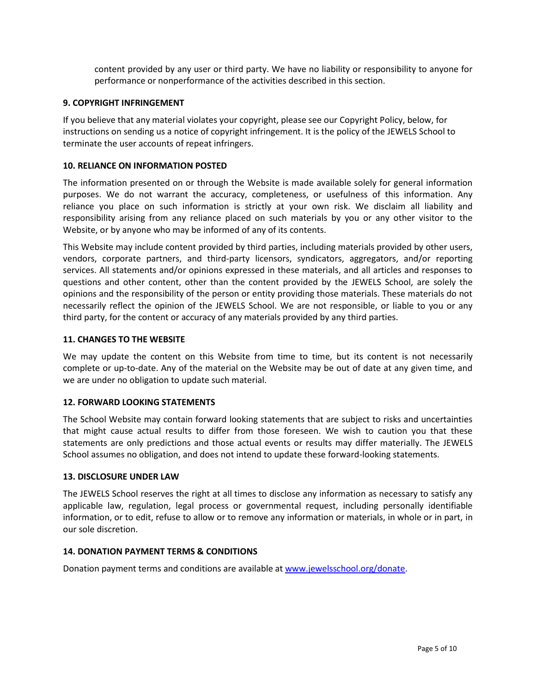content provided by any user or third party. We have no liability or responsibility to anyone for performance or nonperformance of the activities described in this section.

## **9. COPYRIGHT INFRINGEMENT**

If you believe that any material violates your copyright, please see our Copyright Policy, below, for instructions on sending us a notice of copyright infringement. It is the policy of the JEWELS School to terminate the user accounts of repeat infringers.

## **10. RELIANCE ON INFORMATION POSTED**

The information presented on or through the Website is made available solely for general information purposes. We do not warrant the accuracy, completeness, or usefulness of this information. Any reliance you place on such information is strictly at your own risk. We disclaim all liability and responsibility arising from any reliance placed on such materials by you or any other visitor to the Website, or by anyone who may be informed of any of its contents.

This Website may include content provided by third parties, including materials provided by other users, vendors, corporate partners, and third-party licensors, syndicators, aggregators, and/or reporting services. All statements and/or opinions expressed in these materials, and all articles and responses to questions and other content, other than the content provided by the JEWELS School, are solely the opinions and the responsibility of the person or entity providing those materials. These materials do not necessarily reflect the opinion of the JEWELS School. We are not responsible, or liable to you or any third party, for the content or accuracy of any materials provided by any third parties.

## **11. CHANGES TO THE WEBSITE**

We may update the content on this Website from time to time, but its content is not necessarily complete or up-to-date. Any of the material on the Website may be out of date at any given time, and we are under no obligation to update such material.

#### **12. FORWARD LOOKING STATEMENTS**

The School Website may contain forward looking statements that are subject to risks and uncertainties that might cause actual results to differ from those foreseen. We wish to caution you that these statements are only predictions and those actual events or results may differ materially. The JEWELS School assumes no obligation, and does not intend to update these forward-looking statements.

#### **13. DISCLOSURE UNDER LAW**

The JEWELS School reserves the right at all times to disclose any information as necessary to satisfy any applicable law, regulation, legal process or governmental request, including personally identifiable information, or to edit, refuse to allow or to remove any information or materials, in whole or in part, in our sole discretion.

#### **14. DONATION PAYMENT TERMS & CONDITIONS**

Donation payment terms and conditions are available a[t www.jewelsschool.org/donate.](http://www.jewelsschool.org/donate)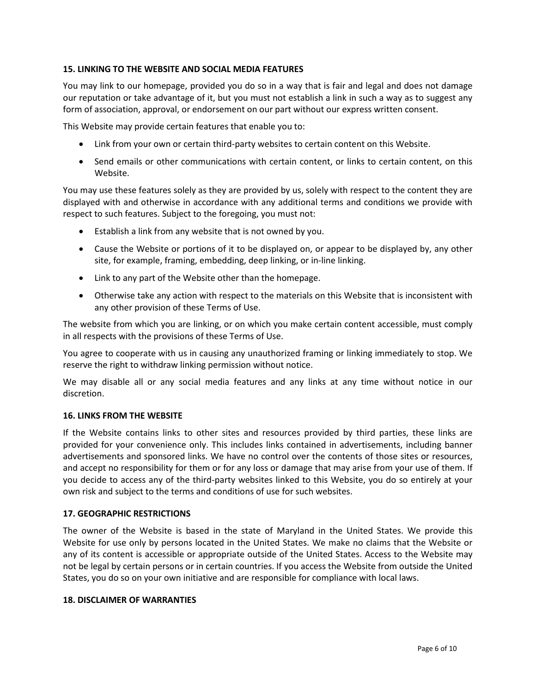## **15. LINKING TO THE WEBSITE AND SOCIAL MEDIA FEATURES**

You may link to our homepage, provided you do so in a way that is fair and legal and does not damage our reputation or take advantage of it, but you must not establish a link in such a way as to suggest any form of association, approval, or endorsement on our part without our express written consent.

This Website may provide certain features that enable you to:

- Link from your own or certain third-party websites to certain content on this Website.
- Send emails or other communications with certain content, or links to certain content, on this Website.

You may use these features solely as they are provided by us, solely with respect to the content they are displayed with and otherwise in accordance with any additional terms and conditions we provide with respect to such features. Subject to the foregoing, you must not:

- Establish a link from any website that is not owned by you.
- Cause the Website or portions of it to be displayed on, or appear to be displayed by, any other site, for example, framing, embedding, deep linking, or in-line linking.
- Link to any part of the Website other than the homepage.
- Otherwise take any action with respect to the materials on this Website that is inconsistent with any other provision of these Terms of Use.

The website from which you are linking, or on which you make certain content accessible, must comply in all respects with the provisions of these Terms of Use.

You agree to cooperate with us in causing any unauthorized framing or linking immediately to stop. We reserve the right to withdraw linking permission without notice.

We may disable all or any social media features and any links at any time without notice in our discretion.

#### **16. LINKS FROM THE WEBSITE**

If the Website contains links to other sites and resources provided by third parties, these links are provided for your convenience only. This includes links contained in advertisements, including banner advertisements and sponsored links. We have no control over the contents of those sites or resources, and accept no responsibility for them or for any loss or damage that may arise from your use of them. If you decide to access any of the third-party websites linked to this Website, you do so entirely at your own risk and subject to the terms and conditions of use for such websites.

## **17. GEOGRAPHIC RESTRICTIONS**

The owner of the Website is based in the state of Maryland in the United States. We provide this Website for use only by persons located in the United States. We make no claims that the Website or any of its content is accessible or appropriate outside of the United States. Access to the Website may not be legal by certain persons or in certain countries. If you access the Website from outside the United States, you do so on your own initiative and are responsible for compliance with local laws.

#### **18. DISCLAIMER OF WARRANTIES**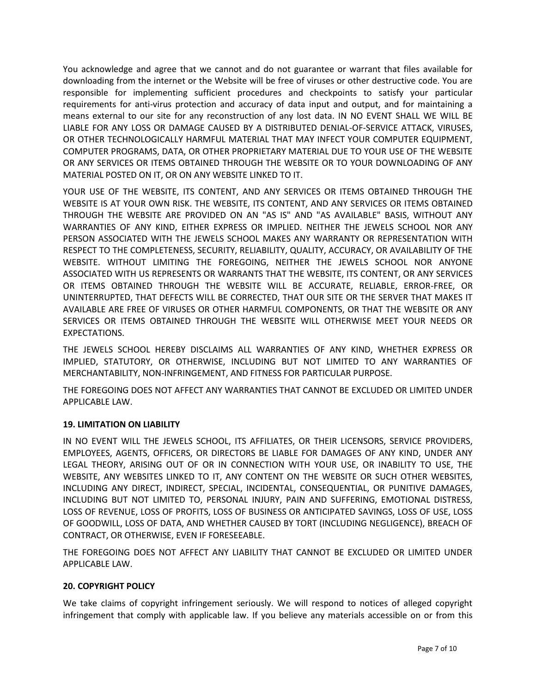You acknowledge and agree that we cannot and do not guarantee or warrant that files available for downloading from the internet or the Website will be free of viruses or other destructive code. You are responsible for implementing sufficient procedures and checkpoints to satisfy your particular requirements for anti-virus protection and accuracy of data input and output, and for maintaining a means external to our site for any reconstruction of any lost data. IN NO EVENT SHALL WE WILL BE LIABLE FOR ANY LOSS OR DAMAGE CAUSED BY A DISTRIBUTED DENIAL-OF-SERVICE ATTACK, VIRUSES, OR OTHER TECHNOLOGICALLY HARMFUL MATERIAL THAT MAY INFECT YOUR COMPUTER EQUIPMENT, COMPUTER PROGRAMS, DATA, OR OTHER PROPRIETARY MATERIAL DUE TO YOUR USE OF THE WEBSITE OR ANY SERVICES OR ITEMS OBTAINED THROUGH THE WEBSITE OR TO YOUR DOWNLOADING OF ANY MATERIAL POSTED ON IT, OR ON ANY WEBSITE LINKED TO IT.

YOUR USE OF THE WEBSITE, ITS CONTENT, AND ANY SERVICES OR ITEMS OBTAINED THROUGH THE WEBSITE IS AT YOUR OWN RISK. THE WEBSITE, ITS CONTENT, AND ANY SERVICES OR ITEMS OBTAINED THROUGH THE WEBSITE ARE PROVIDED ON AN "AS IS" AND "AS AVAILABLE" BASIS, WITHOUT ANY WARRANTIES OF ANY KIND, EITHER EXPRESS OR IMPLIED. NEITHER THE JEWELS SCHOOL NOR ANY PERSON ASSOCIATED WITH THE JEWELS SCHOOL MAKES ANY WARRANTY OR REPRESENTATION WITH RESPECT TO THE COMPLETENESS, SECURITY, RELIABILITY, QUALITY, ACCURACY, OR AVAILABILITY OF THE WEBSITE. WITHOUT LIMITING THE FOREGOING, NEITHER THE JEWELS SCHOOL NOR ANYONE ASSOCIATED WITH US REPRESENTS OR WARRANTS THAT THE WEBSITE, ITS CONTENT, OR ANY SERVICES OR ITEMS OBTAINED THROUGH THE WEBSITE WILL BE ACCURATE, RELIABLE, ERROR-FREE, OR UNINTERRUPTED, THAT DEFECTS WILL BE CORRECTED, THAT OUR SITE OR THE SERVER THAT MAKES IT AVAILABLE ARE FREE OF VIRUSES OR OTHER HARMFUL COMPONENTS, OR THAT THE WEBSITE OR ANY SERVICES OR ITEMS OBTAINED THROUGH THE WEBSITE WILL OTHERWISE MEET YOUR NEEDS OR EXPECTATIONS.

THE JEWELS SCHOOL HEREBY DISCLAIMS ALL WARRANTIES OF ANY KIND, WHETHER EXPRESS OR IMPLIED, STATUTORY, OR OTHERWISE, INCLUDING BUT NOT LIMITED TO ANY WARRANTIES OF MERCHANTABILITY, NON-INFRINGEMENT, AND FITNESS FOR PARTICULAR PURPOSE.

THE FOREGOING DOES NOT AFFECT ANY WARRANTIES THAT CANNOT BE EXCLUDED OR LIMITED UNDER APPLICABLE LAW.

## **19. LIMITATION ON LIABILITY**

IN NO EVENT WILL THE JEWELS SCHOOL, ITS AFFILIATES, OR THEIR LICENSORS, SERVICE PROVIDERS, EMPLOYEES, AGENTS, OFFICERS, OR DIRECTORS BE LIABLE FOR DAMAGES OF ANY KIND, UNDER ANY LEGAL THEORY, ARISING OUT OF OR IN CONNECTION WITH YOUR USE, OR INABILITY TO USE, THE WEBSITE, ANY WEBSITES LINKED TO IT, ANY CONTENT ON THE WEBSITE OR SUCH OTHER WEBSITES, INCLUDING ANY DIRECT, INDIRECT, SPECIAL, INCIDENTAL, CONSEQUENTIAL, OR PUNITIVE DAMAGES, INCLUDING BUT NOT LIMITED TO, PERSONAL INJURY, PAIN AND SUFFERING, EMOTIONAL DISTRESS, LOSS OF REVENUE, LOSS OF PROFITS, LOSS OF BUSINESS OR ANTICIPATED SAVINGS, LOSS OF USE, LOSS OF GOODWILL, LOSS OF DATA, AND WHETHER CAUSED BY TORT (INCLUDING NEGLIGENCE), BREACH OF CONTRACT, OR OTHERWISE, EVEN IF FORESEEABLE.

THE FOREGOING DOES NOT AFFECT ANY LIABILITY THAT CANNOT BE EXCLUDED OR LIMITED UNDER APPLICABLE LAW.

## **20. COPYRIGHT POLICY**

We take claims of copyright infringement seriously. We will respond to notices of alleged copyright infringement that comply with applicable law. If you believe any materials accessible on or from this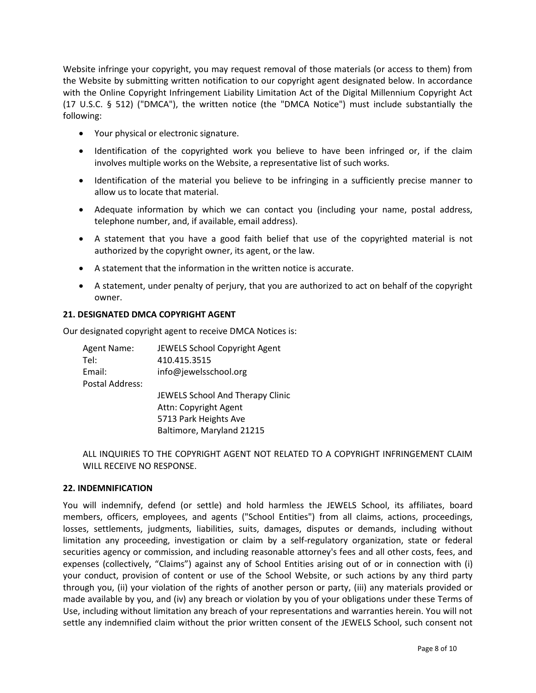Website infringe your copyright, you may request removal of those materials (or access to them) from the Website by submitting written notification to our copyright agent designated below. In accordance with the Online Copyright Infringement Liability Limitation Act of the Digital Millennium Copyright Act (17 U.S.C. § 512) ("DMCA"), the written notice (the "DMCA Notice") must include substantially the following:

- Your physical or electronic signature.
- Identification of the copyrighted work you believe to have been infringed or, if the claim involves multiple works on the Website, a representative list of such works.
- Identification of the material you believe to be infringing in a sufficiently precise manner to allow us to locate that material.
- Adequate information by which we can contact you (including your name, postal address, telephone number, and, if available, email address).
- A statement that you have a good faith belief that use of the copyrighted material is not authorized by the copyright owner, its agent, or the law.
- A statement that the information in the written notice is accurate.
- A statement, under penalty of perjury, that you are authorized to act on behalf of the copyright owner.

## **21. DESIGNATED DMCA COPYRIGHT AGENT**

Our designated copyright agent to receive DMCA Notices is:

Agent Name: JEWELS School Copyright Agent Tel: 410.415.3515 Email: info@jewelsschool.org Postal Address: JEWELS School And Therapy Clinic Attn: Copyright Agent 5713 Park Heights Ave Baltimore, Maryland 21215

ALL INQUIRIES TO THE COPYRIGHT AGENT NOT RELATED TO A COPYRIGHT INFRINGEMENT CLAIM WILL RECEIVE NO RESPONSE.

#### **22. INDEMNIFICATION**

You will indemnify, defend (or settle) and hold harmless the JEWELS School, its affiliates, board members, officers, employees, and agents ("School Entities") from all claims, actions, proceedings, losses, settlements, judgments, liabilities, suits, damages, disputes or demands, including without limitation any proceeding, investigation or claim by a self-regulatory organization, state or federal securities agency or commission, and including reasonable attorney's fees and all other costs, fees, and expenses (collectively, "Claims") against any of School Entities arising out of or in connection with (i) your conduct, provision of content or use of the School Website, or such actions by any third party through you, (ii) your violation of the rights of another person or party, (iii) any materials provided or made available by you, and (iv) any breach or violation by you of your obligations under these Terms of Use, including without limitation any breach of your representations and warranties herein. You will not settle any indemnified claim without the prior written consent of the JEWELS School, such consent not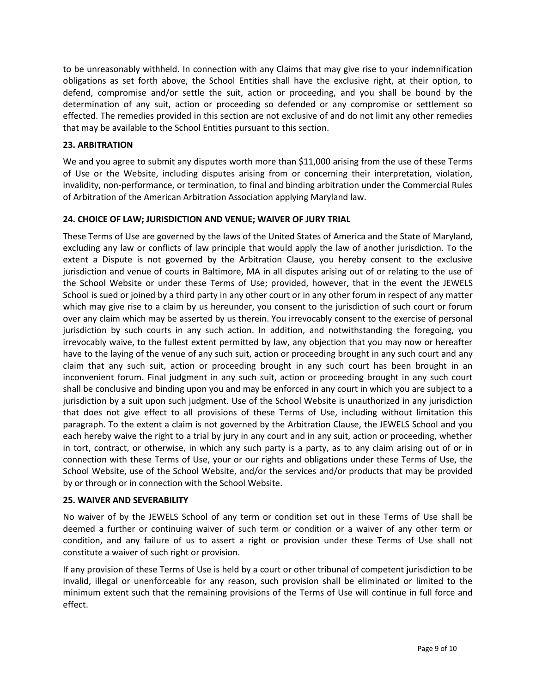to be unreasonably withheld. In connection with any Claims that may give rise to your indemnification obligations as set forth above, the School Entities shall have the exclusive right, at their option, to defend, compromise and/or settle the suit, action or proceeding, and you shall be bound by the determination of any suit, action or proceeding so defended or any compromise or settlement so effected. The remedies provided in this section are not exclusive of and do not limit any other remedies that may be available to the School Entities pursuant to this section.

# **23. ARBITRATION**

We and you agree to submit any disputes worth more than \$11,000 arising from the use of these Terms of Use or the Website, including disputes arising from or concerning their interpretation, violation, invalidity, non-performance, or termination, to final and binding arbitration under the Commercial Rules of Arbitration of the American Arbitration Association applying Maryland law.

# **24. CHOICE OF LAW; JURISDICTION AND VENUE; WAIVER OF JURY TRIAL**

These Terms of Use are governed by the laws of the United States of America and the State of Maryland, excluding any law or conflicts of law principle that would apply the law of another jurisdiction. To the extent a Dispute is not governed by the Arbitration Clause, you hereby consent to the exclusive jurisdiction and venue of courts in Baltimore, MA in all disputes arising out of or relating to the use of the School Website or under these Terms of Use; provided, however, that in the event the JEWELS School is sued or joined by a third party in any other court or in any other forum in respect of any matter which may give rise to a claim by us hereunder, you consent to the jurisdiction of such court or forum over any claim which may be asserted by us therein. You irrevocably consent to the exercise of personal jurisdiction by such courts in any such action. In addition, and notwithstanding the foregoing, you irrevocably waive, to the fullest extent permitted by law, any objection that you may now or hereafter have to the laying of the venue of any such suit, action or proceeding brought in any such court and any claim that any such suit, action or proceeding brought in any such court has been brought in an inconvenient forum. Final judgment in any such suit, action or proceeding brought in any such court shall be conclusive and binding upon you and may be enforced in any court in which you are subject to a jurisdiction by a suit upon such judgment. Use of the School Website is unauthorized in any jurisdiction that does not give effect to all provisions of these Terms of Use, including without limitation this paragraph. To the extent a claim is not governed by the Arbitration Clause, the JEWELS School and you each hereby waive the right to a trial by jury in any court and in any suit, action or proceeding, whether in tort, contract, or otherwise, in which any such party is a party, as to any claim arising out of or in connection with these Terms of Use, your or our rights and obligations under these Terms of Use, the School Website, use of the School Website, and/or the services and/or products that may be provided by or through or in connection with the School Website.

## **25. WAIVER AND SEVERABILITY**

No waiver of by the JEWELS School of any term or condition set out in these Terms of Use shall be deemed a further or continuing waiver of such term or condition or a waiver of any other term or condition, and any failure of us to assert a right or provision under these Terms of Use shall not constitute a waiver of such right or provision.

If any provision of these Terms of Use is held by a court or other tribunal of competent jurisdiction to be invalid, illegal or unenforceable for any reason, such provision shall be eliminated or limited to the minimum extent such that the remaining provisions of the Terms of Use will continue in full force and effect.